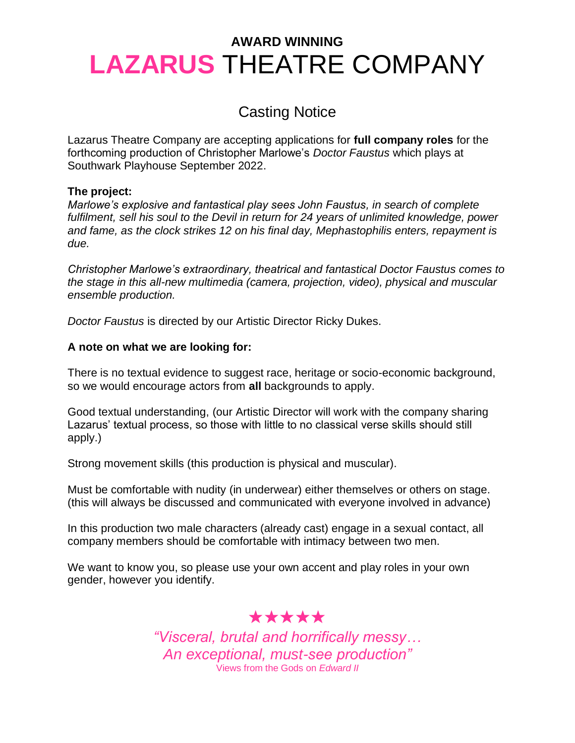# Casting Notice

Lazarus Theatre Company are accepting applications for **full company roles** for the forthcoming production of Christopher Marlowe's *Doctor Faustus* which plays at Southwark Playhouse September 2022.

### **The project:**

*Marlowe's explosive and fantastical play sees John Faustus, in search of complete fulfilment, sell his soul to the Devil in return for 24 years of unlimited knowledge, power and fame, as the clock strikes 12 on his final day, Mephastophilis enters, repayment is due.*

*Christopher Marlowe's extraordinary, theatrical and fantastical Doctor Faustus comes to the stage in this all-new multimedia (camera, projection, video), physical and muscular ensemble production.*

*Doctor Faustus* is directed by our Artistic Director Ricky Dukes.

## **A note on what we are looking for:**

There is no textual evidence to suggest race, heritage or socio-economic background, so we would encourage actors from **all** backgrounds to apply.

Good textual understanding, (our Artistic Director will work with the company sharing Lazarus' textual process, so those with little to no classical verse skills should still apply.)

Strong movement skills (this production is physical and muscular).

Must be comfortable with nudity (in underwear) either themselves or others on stage. (this will always be discussed and communicated with everyone involved in advance)

In this production two male characters (already cast) engage in a sexual contact, all company members should be comfortable with intimacy between two men.

We want to know you, so please use your own accent and play roles in your own gender, however you identify.

# ★★★★★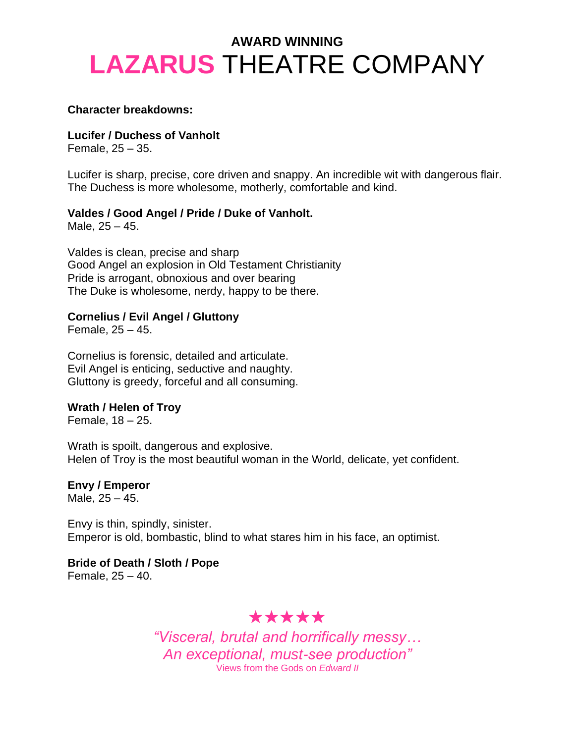#### **Character breakdowns:**

**Lucifer / Duchess of Vanholt**

Female, 25 – 35.

Lucifer is sharp, precise, core driven and snappy. An incredible wit with dangerous flair. The Duchess is more wholesome, motherly, comfortable and kind.

#### **Valdes / Good Angel / Pride / Duke of Vanholt.**

Male, 25 – 45.

Valdes is clean, precise and sharp Good Angel an explosion in Old Testament Christianity Pride is arrogant, obnoxious and over bearing The Duke is wholesome, nerdy, happy to be there.

### **Cornelius / Evil Angel / Gluttony**

Female, 25 – 45.

Cornelius is forensic, detailed and articulate. Evil Angel is enticing, seductive and naughty. Gluttony is greedy, forceful and all consuming.

### **Wrath / Helen of Troy**

Female, 18 – 25.

Wrath is spoilt, dangerous and explosive. Helen of Troy is the most beautiful woman in the World, delicate, yet confident.

# **Envy / Emperor**

Male, 25 – 45.

Envy is thin, spindly, sinister. Emperor is old, bombastic, blind to what stares him in his face, an optimist.

**Bride of Death / Sloth / Pope** Female, 25 – 40.

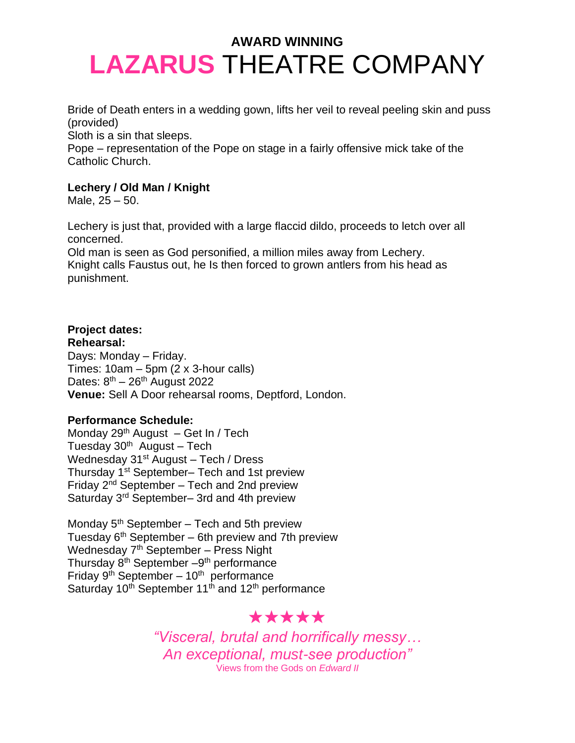Bride of Death enters in a wedding gown, lifts her veil to reveal peeling skin and puss (provided)

Sloth is a sin that sleeps.

Pope – representation of the Pope on stage in a fairly offensive mick take of the Catholic Church.

## **Lechery / Old Man / Knight**

Male, 25 – 50.

Lechery is just that, provided with a large flaccid dildo, proceeds to letch over all concerned.

Old man is seen as God personified, a million miles away from Lechery. Knight calls Faustus out, he Is then forced to grown antlers from his head as punishment.

# **Project dates:**

**Rehearsal:**

Days: Monday – Friday. Times:  $10am - 5pm$  (2 x 3-hour calls) Dates:  $8^{th}$  –  $26^{th}$  August 2022 **Venue:** Sell A Door rehearsal rooms, Deptford, London.

## **Performance Schedule:**

Monday  $29<sup>th</sup>$  August – Get In / Tech Tuesday 30<sup>th</sup> August – Tech Wednesday 31<sup>st</sup> August – Tech / Dress Thursday 1st September– Tech and 1st preview Friday  $2<sup>nd</sup>$  September – Tech and 2nd preview Saturday 3rd September– 3rd and 4th preview

Monday  $5<sup>th</sup>$  September – Tech and 5th preview Tuesday  $6<sup>th</sup>$  September – 6th preview and 7th preview Wednesday 7<sup>th</sup> September - Press Night Thursday 8<sup>th</sup> September - 9<sup>th</sup> performance Friday 9<sup>th</sup> September - 10<sup>th</sup> performance Saturday 10<sup>th</sup> September 11<sup>th</sup> and 12<sup>th</sup> performance

# ★★★★★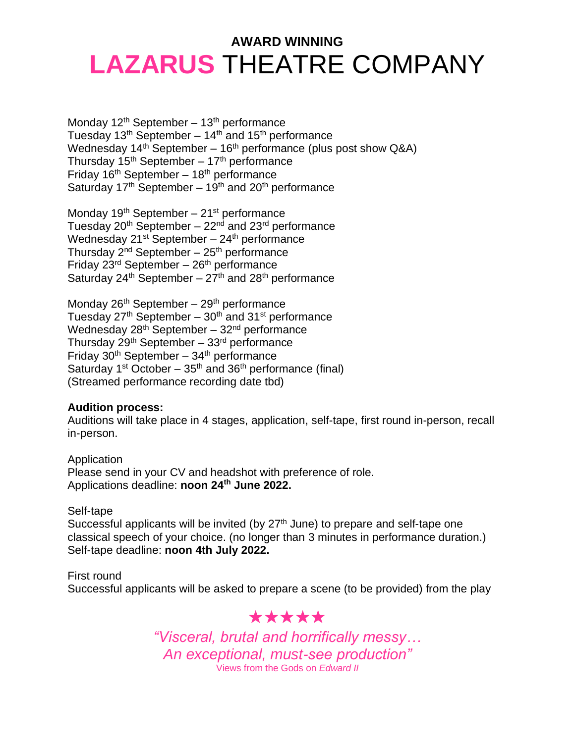Monday  $12<sup>th</sup>$  September –  $13<sup>th</sup>$  performance Tuesday  $13<sup>th</sup>$  September –  $14<sup>th</sup>$  and  $15<sup>th</sup>$  performance Wednesday  $14<sup>th</sup>$  September –  $16<sup>th</sup>$  performance (plus post show Q&A) Thursday  $15<sup>th</sup>$  September –  $17<sup>th</sup>$  performance Friday  $16<sup>th</sup>$  September –  $18<sup>th</sup>$  performance Saturday 17<sup>th</sup> September – 19<sup>th</sup> and 20<sup>th</sup> performance

Monday 19<sup>th</sup> September - 21<sup>st</sup> performance Tuesday 20<sup>th</sup> September – 22<sup>nd</sup> and 23<sup>rd</sup> performance Wednesday  $21^{st}$  September –  $24^{th}$  performance Thursday  $2^{nd}$  September –  $25^{th}$  performance Friday  $23<sup>rd</sup>$  September –  $26<sup>th</sup>$  performance Saturday  $24^{th}$  September –  $27^{th}$  and  $28^{th}$  performance

Monday  $26<sup>th</sup>$  September –  $29<sup>th</sup>$  performance Tuesday  $27<sup>th</sup>$  September –  $30<sup>th</sup>$  and  $31<sup>st</sup>$  performance Wednesday  $28<sup>th</sup>$  September –  $32<sup>nd</sup>$  performance Thursday  $29<sup>th</sup>$  September –  $33<sup>rd</sup>$  performance Friday  $30<sup>th</sup>$  September –  $34<sup>th</sup>$  performance Saturday  $1^{st}$  October –  $35^{th}$  and  $36^{th}$  performance (final) (Streamed performance recording date tbd)

### **Audition process:**

Auditions will take place in 4 stages, application, self-tape, first round in-person, recall in-person.

Application Please send in your CV and headshot with preference of role. Applications deadline: **noon 24th June 2022.**

### Self-tape

Successful applicants will be invited (by  $27<sup>th</sup>$  June) to prepare and self-tape one classical speech of your choice. (no longer than 3 minutes in performance duration.) Self-tape deadline: **noon 4th July 2022.**

First round

Successful applicants will be asked to prepare a scene (to be provided) from the play